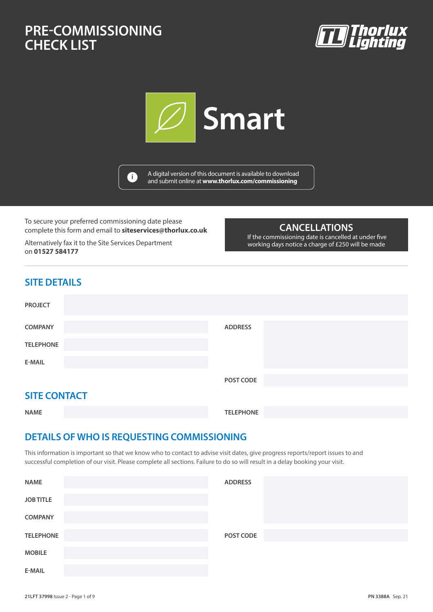# **PRE-COMMISSIONING PRE-COMMISSIONING CHECK LIST CHECK LIST**







A digital version of this document is available to download and submit online at **www.thorlux.com/commissioning <sup>i</sup>**

To secure your preferred commissioning date please complete this form and email to **siteservices@thorlux.co.uk**

Alternatively fax it to the Site Services Department on **01527 584177**

### **CANCELLATIONS**

 If the commissioning date is cancelled at under five working days notice a charge of £250 will be made

### **SITE DETAILS**

| <b>PROJECT</b>      |                |
|---------------------|----------------|
| <b>COMPANY</b>      | <b>ADDRESS</b> |
| <b>TELEPHONE</b>    |                |
| <b>E-MAIL</b>       |                |
|                     | POST CODE      |
| <b>SITE CONTACT</b> |                |

**NAME TELEPHONE**

# **DETAILS OF WHO IS REQUESTING COMMISSIONING**

This information is important so that we know who to contact to advise visit dates, give progress reports/report issues to and successful completion of our visit. Please complete all sections. Failure to do so will result in a delay booking your visit.

| <b>NAME</b>      | <b>ADDRESS</b> |  |
|------------------|----------------|--|
| <b>JOB TITLE</b> |                |  |
| <b>COMPANY</b>   |                |  |
| <b>TELEPHONE</b> | POST CODE      |  |
| <b>MOBILE</b>    |                |  |
| E-MAIL           |                |  |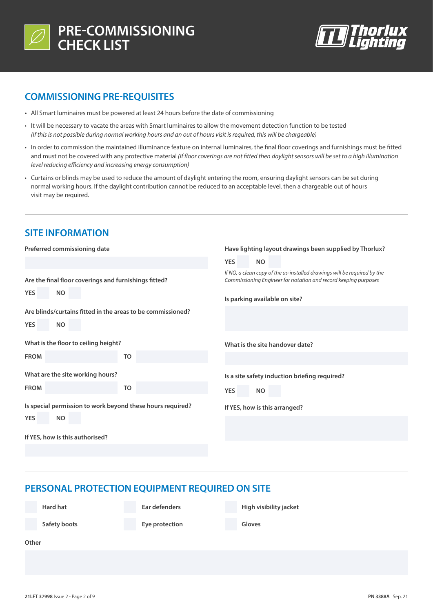



### **COMMISSIONING PRE-REQUISITES**

- **•** All Smart luminaires must be powered at least 24 hours before the date of commissioning
- It will be necessary to vacate the areas with Smart luminaires to allow the movement detection function to be tested *(If this is not possible during normal working hours and an out of hours visit is required, this will be chargeable)*
- In order to commission the maintained illuminance feature on internal luminaires, the final floor coverings and furnishings must be fitted and must not be covered with any protective material *(If floor coverings are not fitted then daylight sensors will be set to a high illumination level reducing efficiency and increasing energy consumption)*
- Curtains or blinds may be used to reduce the amount of daylight entering the room, ensuring daylight sensors can be set during normal working hours. If the daylight contribution cannot be reduced to an acceptable level, then a chargeable out of hours visit may be required.

### **SITE INFORMATION**

| Preferred commissioning date                                                           | Have lighting layout drawings been supplied by Thorlux?                                                                                                                      |
|----------------------------------------------------------------------------------------|------------------------------------------------------------------------------------------------------------------------------------------------------------------------------|
|                                                                                        | <b>YES</b><br><b>NO</b>                                                                                                                                                      |
| Are the final floor coverings and furnishings fitted?<br><b>NO</b><br><b>YES</b>       | If NO, a clean copy of the as-installed drawings will be required by the<br>Commissioning Engineer for notation and record keeping purposes<br>Is parking available on site? |
| Are blinds/curtains fitted in the areas to be commissioned?<br><b>YES</b><br><b>NO</b> |                                                                                                                                                                              |
| What is the floor to ceiling height?                                                   | What is the site handover date?                                                                                                                                              |
| <b>FROM</b><br>TO                                                                      |                                                                                                                                                                              |
| What are the site working hours?                                                       | Is a site safety induction briefing required?                                                                                                                                |
| <b>FROM</b><br>TO                                                                      | <b>YES</b><br><b>NO</b>                                                                                                                                                      |
| Is special permission to work beyond these hours required?<br><b>YES</b><br><b>NO</b>  | If YES, how is this arranged?                                                                                                                                                |
| If YES, how is this authorised?                                                        |                                                                                                                                                                              |
|                                                                                        |                                                                                                                                                                              |

### **PERSONAL PROTECTION EQUIPMENT REQUIRED ON SITE**

**Ear defenders**

**High visibility jacket**

**Safety boots**

**Hard hat**

**Eye protection**

**Gloves**

**Other**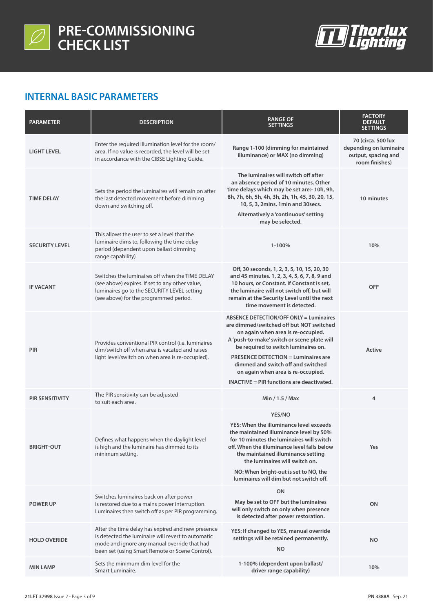



## **INTERNAL BASIC PARAMETERS**

| <b>PARAMETER</b>       | <b>DESCRIPTION</b>                                                                                                                                                                                         | <b>RANGE OF</b><br><b>SETTINGS</b>                                                                                                                                                                                                                                                                                                                                                                    | <b>FACTORY</b><br><b>DEFAULT</b><br><b>SETTINGS</b>                                   |
|------------------------|------------------------------------------------------------------------------------------------------------------------------------------------------------------------------------------------------------|-------------------------------------------------------------------------------------------------------------------------------------------------------------------------------------------------------------------------------------------------------------------------------------------------------------------------------------------------------------------------------------------------------|---------------------------------------------------------------------------------------|
| <b>LIGHT LEVEL</b>     | Enter the required illumination level for the room/<br>area. If no value is recorded, the level will be set<br>in accordance with the CIBSE Lighting Guide.                                                | Range 1-100 (dimming for maintained<br>illuminance) or MAX (no dimming)                                                                                                                                                                                                                                                                                                                               | 70 (circa. 500 lux<br>depending on luminaire<br>output, spacing and<br>room finishes) |
| <b>TIME DELAY</b>      | Sets the period the luminaires will remain on after<br>the last detected movement before dimming<br>down and switching off.                                                                                | The luminaires will switch off after<br>an absence period of 10 minutes. Other<br>time delays which may be set are:- 10h, 9h,<br>8h, 7h, 6h, 5h, 4h, 3h, 2h, 1h, 45, 30, 20, 15,<br>10, 5, 3, 2mins. 1min and 30 secs.<br>Alternatively a 'continuous' setting<br>may be selected.                                                                                                                    | 10 minutes                                                                            |
| <b>SECURITY LEVEL</b>  | This allows the user to set a level that the<br>luminaire dims to, following the time delay<br>period (dependent upon ballast dimming<br>range capability)                                                 | 1-100%                                                                                                                                                                                                                                                                                                                                                                                                | 10%                                                                                   |
| <b>IF VACANT</b>       | Switches the luminaires off when the TIME DELAY<br>(see above) expires. If set to any other value,<br>luminaires go to the SECURITY LEVEL setting<br>(see above) for the programmed period.                | Off, 30 seconds, 1, 2, 3, 5, 10, 15, 20, 30<br>and 45 minutes. 1, 2, 3, 4, 5, 6, 7, 8, 9 and<br>10 hours, or Constant. If Constant is set,<br>the luminaire will not switch off, but will<br>remain at the Security Level until the next<br>time movement is detected.                                                                                                                                | <b>OFF</b>                                                                            |
| <b>PIR</b>             | Provides conventional PIR control (i.e. luminaires<br>dim/switch off when area is vacated and raises<br>light level/switch on when area is re-occupied).                                                   | <b>ABSENCE DETECTION/OFF ONLY = Luminaires</b><br>are dimmed/switched off but NOT switched<br>on again when area is re-occupied.<br>A 'push-to-make' switch or scene plate will<br>be required to switch luminaires on.<br><b>PRESENCE DETECTION = Luminaires are</b><br>dimmed and switch off and switched<br>on again when area is re-occupied.<br><b>INACTIVE</b> = PIR functions are deactivated. | Active                                                                                |
| <b>PIR SENSITIVITY</b> | The PIR sensitivity can be adjusted<br>to suit each area.                                                                                                                                                  | Min / 1.5 / Max                                                                                                                                                                                                                                                                                                                                                                                       | 4                                                                                     |
| <b>BRIGHT-OUT</b>      | Defines what happens when the daylight level<br>is high and the luminaire has dimmed to its<br>minimum setting.                                                                                            | YES/NO<br>YES: When the illuminance level exceeds<br>the maintained illuminance level by 50%<br>for 10 minutes the luminaires will switch<br>off. When the illuminance level falls below<br>the maintained illuminance setting<br>the luminaires will switch on.<br>NO: When bright-out is set to NO, the<br>luminaires will dim but not switch off.                                                  | Yes                                                                                   |
| <b>POWER UP</b>        | Switches luminaires back on after power<br>is restored due to a mains power interruption.<br>Luminaires then switch off as per PIR programming.                                                            | ON<br>May be set to OFF but the luminaires<br>will only switch on only when presence<br>is detected after power restoration.                                                                                                                                                                                                                                                                          | ON                                                                                    |
| <b>HOLD OVERIDE</b>    | After the time delay has expired and new presence<br>is detected the luminaire will revert to automatic<br>mode and ignore any manual override that had<br>been set (using Smart Remote or Scene Control). | YES: If changed to YES, manual override<br>settings will be retained permanently.<br><b>NO</b>                                                                                                                                                                                                                                                                                                        | <b>NO</b>                                                                             |
| <b>MIN LAMP</b>        | Sets the minimum dim level for the<br>Smart Luminaire.                                                                                                                                                     | 1-100% (dependent upon ballast/<br>driver range capability)                                                                                                                                                                                                                                                                                                                                           | 10%                                                                                   |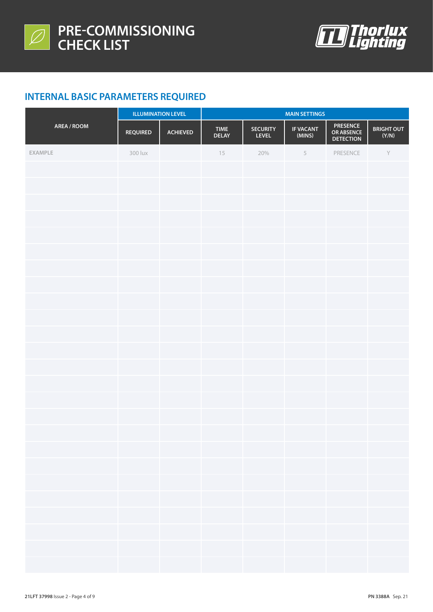



# **INTERNAL BASIC PARAMETERS REQUIRED**

|             | <b>ILLUMINATION LEVEL</b> |                 | <b>MAIN SETTINGS</b>        |                                 |                            |                                     |                                                |
|-------------|---------------------------|-----------------|-----------------------------|---------------------------------|----------------------------|-------------------------------------|------------------------------------------------|
| AREA / ROOM | <b>REQUIRED</b>           | <b>ACHIEVED</b> | <b>TIME</b><br><b>DELAY</b> | <b>SECURITY</b><br><b>LEVEL</b> | <b>IF VACANT</b><br>(MINS) | PRESENCE<br>OR ABSENCE<br>DETECTION | <b>BRIGHT OUT</b><br>$(\mathsf{Y}/\mathsf{N})$ |
| EXAMPLE     | 300 lux                   |                 | 15                          | 20%                             | $\,$ 5                     | PRESENCE                            | $\mathsf{Y}$                                   |
|             |                           |                 |                             |                                 |                            |                                     |                                                |
|             |                           |                 |                             |                                 |                            |                                     |                                                |
|             |                           |                 |                             |                                 |                            |                                     |                                                |
|             |                           |                 |                             |                                 |                            |                                     |                                                |
|             |                           |                 |                             |                                 |                            |                                     |                                                |
|             |                           |                 |                             |                                 |                            |                                     |                                                |
|             |                           |                 |                             |                                 |                            |                                     |                                                |
|             |                           |                 |                             |                                 |                            |                                     |                                                |
|             |                           |                 |                             |                                 |                            |                                     |                                                |
|             |                           |                 |                             |                                 |                            |                                     |                                                |
|             |                           |                 |                             |                                 |                            |                                     |                                                |
|             |                           |                 |                             |                                 |                            |                                     |                                                |
|             |                           |                 |                             |                                 |                            |                                     |                                                |
|             |                           |                 |                             |                                 |                            |                                     |                                                |
|             |                           |                 |                             |                                 |                            |                                     |                                                |
|             |                           |                 |                             |                                 |                            |                                     |                                                |
|             |                           |                 |                             |                                 |                            |                                     |                                                |
|             |                           |                 |                             |                                 |                            |                                     |                                                |
|             |                           |                 |                             |                                 |                            |                                     |                                                |
|             |                           |                 |                             |                                 |                            |                                     |                                                |
|             |                           |                 |                             |                                 |                            |                                     |                                                |
|             |                           |                 |                             |                                 |                            |                                     |                                                |
|             |                           |                 |                             |                                 |                            |                                     |                                                |
|             |                           |                 |                             |                                 |                            |                                     |                                                |
|             |                           |                 |                             |                                 |                            |                                     |                                                |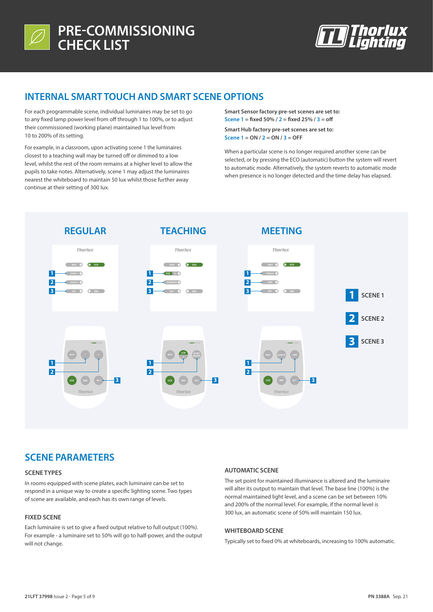



### **INTERNAL SMART TOUCH AND SMART SCENE OPTIONS**

For each programmable scene, individual luminaires may be set to go to any fixed lamp power level from off through 1 to 100%, or to adjust their commissioned (working plane) maintained lux level from 10 to 200% of its setting.

For example, in a classroom, upon activating scene 1 the luminaires closest to a teaching wall may be turned off or dimmed to a low level, whilst the rest of the room remains at a higher level to allow the pupils to take notes. Alternatively, scene 1 may adjust the luminaires nearest the whiteboard to maintain 50 lux whilst those further away continue at their setting of 300 lux.

**Smart Sensor factory pre-set scenes are set to: Scene 1 = fixed 50% / 2 = fixed 25% / 3 = off**

**Smart Hub factory pre-set scenes are set to: Scene 1 = ON / 2 = ON / 3 = OFF**

When a particular scene is no longer required another scene can be selected, or by pressing the ECO (automatic) button the system will revert to automatic mode. Alternatively, the system reverts to automatic mode when presence is no longer detected and the time delay has elapsed.



### **SCENE PARAMETERS**

#### **SCENE TYPES**

In rooms equipped with scene plates, each luminaire can be set to respond in a unique way to create a specific lighting scene. Two types of scene are available, and each has its own range of levels.

#### **FIXED SCENE**

Each luminaire is set to give a fixed output relative to full output (100%). For example - a luminaire set to 50% will go to half-power, and the output will not change.

#### **AUTOMATIC SCENE**

The set point for maintained illuminance is altered and the luminaire will alter its output to maintain that level. The base line (100%) is the normal maintained light level, and a scene can be set between 10% and 200% of the normal level. For example, if the normal level is 300 lux, an automatic scene of 50% will maintain 150 lux.

#### **WHITEBOARD SCENE**

Typically set to fixed 0% at whiteboards, increasing to 100% automatic.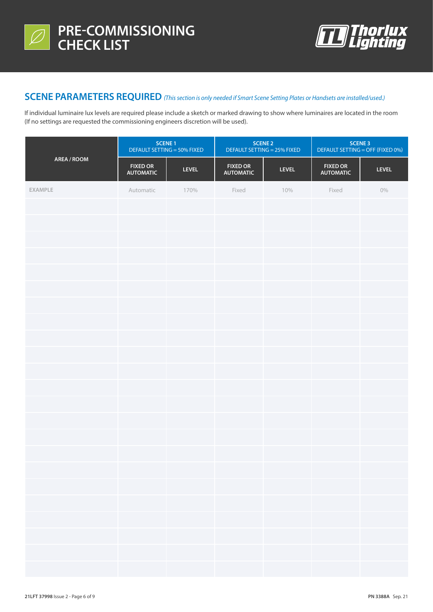



### **SCENE PARAMETERS REQUIRED** *(This section is only needed if Smart Scene Setting Plates or Handsets are installed/used.)*

If individual luminaire lux levels are required please include a sketch or marked drawing to show where luminaires are located in the room (If no settings are requested the commissioning engineers discretion will be used).

|             | <b>SCENE 1</b><br>DEFAULT SETTING = 50% FIXED |              | <b>SCENE 2</b><br>DEFAULT SETTING = 25% FIXED |              | <b>SCENE 3</b><br>DEFAULT SETTING = OFF (FIXED 0%) |              |
|-------------|-----------------------------------------------|--------------|-----------------------------------------------|--------------|----------------------------------------------------|--------------|
| AREA / ROOM | <b>FIXED OR</b><br><b>AUTOMATIC</b>           | <b>LEVEL</b> | <b>FIXED OR</b><br><b>AUTOMATIC</b>           | <b>LEVEL</b> | <b>FIXED OR</b><br><b>AUTOMATIC</b>                | <b>LEVEL</b> |
| EXAMPLE     | Automatic                                     | 170%         | Fixed                                         | 10%          | Fixed                                              | $0\%$        |
|             |                                               |              |                                               |              |                                                    |              |
|             |                                               |              |                                               |              |                                                    |              |
|             |                                               |              |                                               |              |                                                    |              |
|             |                                               |              |                                               |              |                                                    |              |
|             |                                               |              |                                               |              |                                                    |              |
|             |                                               |              |                                               |              |                                                    |              |
|             |                                               |              |                                               |              |                                                    |              |
|             |                                               |              |                                               |              |                                                    |              |
|             |                                               |              |                                               |              |                                                    |              |
|             |                                               |              |                                               |              |                                                    |              |
|             |                                               |              |                                               |              |                                                    |              |
|             |                                               |              |                                               |              |                                                    |              |
|             |                                               |              |                                               |              |                                                    |              |
|             |                                               |              |                                               |              |                                                    |              |
|             |                                               |              |                                               |              |                                                    |              |
|             |                                               |              |                                               |              |                                                    |              |
|             |                                               |              |                                               |              |                                                    |              |
|             |                                               |              |                                               |              |                                                    |              |
|             |                                               |              |                                               |              |                                                    |              |
|             |                                               |              |                                               |              |                                                    |              |
|             |                                               |              |                                               |              |                                                    |              |
|             |                                               |              |                                               |              |                                                    |              |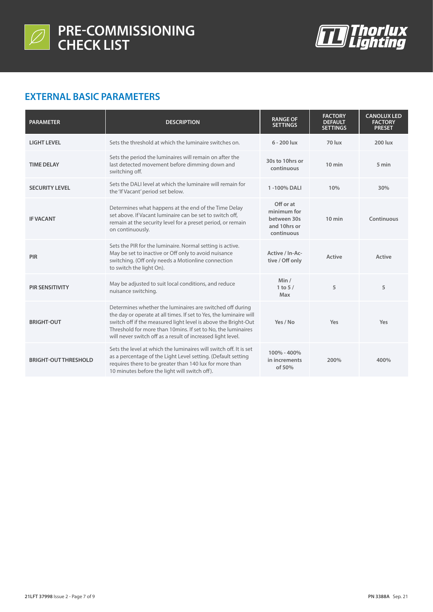



### **EXTERNAL BASIC PARAMETERS**

| <b>PARAMETER</b>            | <b>DESCRIPTION</b>                                                                                                                                                                                                                                                                                                               | <b>RANGE OF</b><br><b>SETTINGS</b>                                    | <b>FACTORY</b><br><b>DEFAULT</b><br><b>SETTINGS</b> | <b>CANOLUX LED</b><br><b>FACTORY</b><br><b>PRESET</b> |
|-----------------------------|----------------------------------------------------------------------------------------------------------------------------------------------------------------------------------------------------------------------------------------------------------------------------------------------------------------------------------|-----------------------------------------------------------------------|-----------------------------------------------------|-------------------------------------------------------|
| <b>LIGHT LEVEL</b>          | Sets the threshold at which the luminaire switches on.                                                                                                                                                                                                                                                                           | $6 - 200$ lux                                                         | 70 lux                                              | 200 lux                                               |
| <b>TIME DELAY</b>           | Sets the period the luminaires will remain on after the<br>last detected movement before dimming down and<br>switching off.                                                                                                                                                                                                      | 30s to 10hrs or<br>continuous                                         | $10$ min                                            | 5 min                                                 |
| <b>SECURITY LEVEL</b>       | Sets the DALI level at which the luminaire will remain for<br>the 'If Vacant' period set below.                                                                                                                                                                                                                                  | 1-100% DALI                                                           | 10%                                                 | 30%                                                   |
| <b>IF VACANT</b>            | Determines what happens at the end of the Time Delay<br>set above. If Vacant luminaire can be set to switch off.<br>remain at the security level for a preset period, or remain<br>on continuously.                                                                                                                              | Off or at<br>minimum for<br>between 30s<br>and 10hrs or<br>continuous | $10$ min                                            | Continuous                                            |
| PIR                         | Sets the PIR for the luminaire. Normal setting is active.<br>May be set to inactive or Off only to avoid nuisance<br>switching. (Off only needs a Motionline connection<br>to switch the light On).                                                                                                                              | Active / In-Ac-<br>tive / Off only                                    | Active                                              | Active                                                |
| <b>PIR SENSITIVITY</b>      | May be adjusted to suit local conditions, and reduce<br>nuisance switching.                                                                                                                                                                                                                                                      | Min/<br>1 to $5/$<br>Max                                              | 5                                                   | 5                                                     |
| <b>BRIGHT-OUT</b>           | Determines whether the luminaires are switched off during<br>the day or operate at all times. If set to Yes, the luminaire will<br>switch off if the measured light level is above the Bright-Out<br>Threshold for more than 10mins. If set to No, the luminaires<br>will never switch off as a result of increased light level. | Yes / No                                                              | Yes                                                 | Yes                                                   |
| <b>BRIGHT-OUT THRESHOLD</b> | Sets the level at which the luminaires will switch off. It is set<br>as a percentage of the Light Level setting. (Default setting<br>requires there to be greater than 140 lux for more than<br>10 minutes before the light will switch off).                                                                                    | 100% - 400%<br>in increments<br>of 50%                                | 200%                                                | 400%                                                  |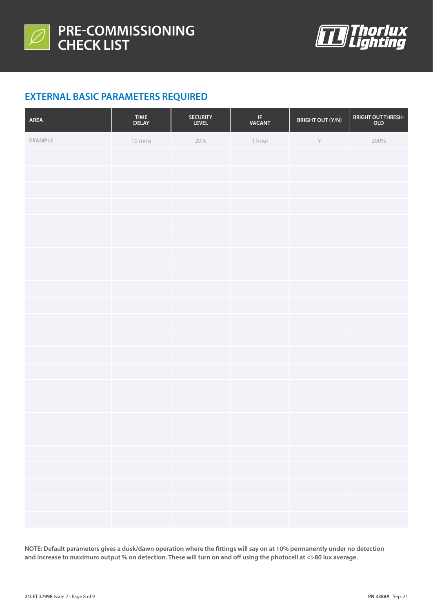



# **EXTERNAL BASIC PARAMETERS REQUIRED**

| AREA    | TIME<br>DELAY | SECURITY<br>LEVEL | IF<br>VACANT | <b>BRIGHT OUT (Y/N)</b> | BRIGHT OUT THRESH-<br>OLD |
|---------|---------------|-------------------|--------------|-------------------------|---------------------------|
| EXAMPLE | 10 mins       | 20%               | 1 hour       | $\mathsf Y$             | 200%                      |
|         |               |                   |              |                         |                           |
|         |               |                   |              |                         |                           |
|         |               |                   |              |                         |                           |
|         |               |                   |              |                         |                           |
|         |               |                   |              |                         |                           |
|         |               |                   |              |                         |                           |
|         |               |                   |              |                         |                           |
|         |               |                   |              |                         |                           |
|         |               |                   |              |                         |                           |
|         |               |                   |              |                         |                           |
|         |               |                   |              |                         |                           |
|         |               |                   |              |                         |                           |
|         |               |                   |              |                         |                           |
|         |               |                   |              |                         |                           |
|         |               |                   |              |                         |                           |
|         |               |                   |              |                         |                           |
|         |               |                   |              |                         |                           |
|         |               |                   |              |                         |                           |
|         |               |                   |              |                         |                           |
|         |               |                   |              |                         |                           |
|         |               |                   |              |                         |                           |
|         |               |                   |              |                         |                           |
|         |               |                   |              |                         |                           |

**NOTE: Default parameters gives a dusk/dawn operation where the fittings will say on at 10% permanently under no detection and increase to maximum output % on detection. These will turn on and off using the photocell at <>80 lux average.**